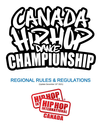

# REGIONAL RULES & REGULATIONS

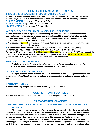# COMPOSITION OF A DANCE CREW

#### CREW OF 5-10 CREWMEMBERS • JUNIOR, VARSITY & ADULT

A crew consists of a minimum five (5) to a maximum of ten (10) crewmembers. The crewmembers of the crew may be made up of any combination of males and females within the defined age divisions: JUNIOR DIVISION Ages seven (7) to twelve (12) VARSITY DIVISION Ages thirteen (13) to seventeen (17)

ADULT DIVISION Ages eighteen (18) and older

#### AGE REQUIREMENTS FOR JUNIOR, VARSITY & ADULT DIVISIONS

1. Each participant's proof of age must be validated by the event organizer prior to the competition. Each participant will be required to submit a government issued ID (a current driver's license, birth certificate copy, and/or passport) indicating date of birth. For continental/world competitions, a copy of a birth certificate and/or passport are required.

2. A maximum o f three (3) crewmembers may compete in an older division crew but no crewmember may compete in a younger division crew.

3. A crewmember whose age falls between two age divisions in the competition year (ending December 31st) may compete in either division within that year. See example below.

Example: A 12-year-old turning 13 within the competition year  $\frac{1}{2}$  (as of January 1  $\frac{1}{2}$  2022) may compete in the junior and/or the varsity division. Likewise, a 17 - year-old turning 18 within the competition year (as of January 1  $\mathrm{st}$  2022) may compete in the varsity and/or the adult division.

#### MINICREW OF 3 CREWMEMBERS:

A MiniCrew consists of a total of three (3) crewmembers. The crewmembers of the MiniCrew may be made up of any combination of males and females and ALL AGES.

#### MEGACREW OF 10-40 CREWMEMBERS:

A MegaCrew consists of a minimum ten  $(10)$  to a maximum of forty  $(4 \ 0)$  crewmembers. The crewmembers of the MegaCrew may be made up of any combination of males and females and ALL AGES.

#### PARTICIPATION LIMIT

A crewmember may compete in a maximum of two (2) crews per division.

**COMPETITION FLOOR SIZE**<br>The minimum competition floor is 30' x 24'. The standard competition floor is 36' x 30'.

# CREWMEMBER CHANGES

# CREWMEMBER CHANGES, ADDITIONS & SUBSTITUTIONS DURING THE **COMPETITION**

All the crewmembers of a Crew, MiniCrew or MegaCrew who are listed on the event registration form (following on -site registration) must compete at the start of the competition. HHI does not permit crewmember changes from one round of compet ition to another without just cause and approval by the event organizer. Every competing crewmember will be subject to verification during the competition. A crew that competes with more, less or different crewmembers than those registered, without approva l, is subject to disqualification, suspension and/or other penalties deemed necessary by HHI. Crewmember substitutions or additions once a competition event has begun are not permitted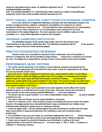except for reasonable and just cause. An additional registration fee wi ll be required for each substitution/addition permitted.

Note: The substitution/addition of a crewmember(s) without approval is subject to disqualification, suspension and/or other severe penalties deemed necessary by HHI.

# ENTRY CHANGES, ADDITIONS, SUBSTITUTIONS FOR DEFENDING CHAMPIONS

For a Crew, MiniCrew or MegaCrew defending a champion title and requesting a change in the number of original members; additions, substitutions and deletions of a maximum of 1 will be permitted for MiniCrews, maximum of 2 w ill be permitted for crews consisting of 5 to 6 crewmembers, a maximum of 3 for crews comprised of 7 to 10 crewmembers and a maximum of 1/3 of the crewmembers of the original MegaCrew. The event organizer must be notified in advance of the competition or d uring onsite registration to approve the change(s).

# DEFENDING CHAMPION(S) PARTICIPATION

The defending champion is the winning "gold medal" crew from the previous year's championship and may return to defend their title. The defending champion(s) will be t he last group to compete on stage at the end of their division/category.

# PRACTICE ROUNDS/TECH REHEARSAL Practice rounds are not provided for standard Crews or Minicrews. Due to the quantity of

dancers in a Megacrew, they will be permitted to stage rehears al time up to a maximum of 8 minutes per crew. The Megacrew is responsible for arriving on time or their practice round may be forfeited.

PERFORMANCE MUSIC CRITERIA<br>1. The routine must be performed, in its entirety, to music selected, prepared and provided by the crews. The event organizer(s) will not provide the crews' music. Crews are responsible for the quality, mix and sound levels of their music.

2. Each crew must i nclude a segment of continuous music, uninterrupted by edits or sound effects, within their routine to obtain the highest possible score from the judges. It is strongly recommended that the music for Junior crews and MiniCrews include a minimum of twenty (20) seconds of continuous, uninterrupted music placed anywhere in the routine. The music for Varsity and Adult crews should include at least one segment of a minimum of thirty (30) seconds of continuous, uninterrupted music placed anywhere in the routine.

3. A crew's competition music must be provided to the event organizer via the official HHI Canada website as well as on a USB flash drive the day of the event. The music must be the only piece of music recorded on the device (unless specified differently  $\mathbf{b}$  y the event organizer).

4. The device must be in good condition. It is a crew's responsibility to keep a back  $\blacksquare$  -up device available at all times for use.

5. The crew's name and division must be clearly identified on the device.

6. There is no maximum or min imum number of songs or recordings that may be used in the routine. However, the judging panels have concluded that fewer songs are preferable over multiple music selections/mixes allowing for greater focus on continuous dancing.

7. Crews are highly cautio ned and advised against the music becoming too complex with too many edits, sound effects or songs preventing them from exhibiting a clean and continuous dance performance.

8. The competition music must not contain (or sound like) inappropriate, lewd or of fensive language. The event organizer has the right to refuse music with inappropriate, lewd or offensive language.

9. Crews may be required to provide the following music information in writing to the event organizer(s) prior to the event for each song us ed in the routine. a. Title, b. Artist, c. Composer, d. Publisher, e. Recording Company.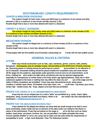# ROUTINE/MUSIC LENGTH REQUIREMENTS

#### JUNIOR & MINICREW DIVISIONS

The routine's length for both Junior crews and MiniCrews is a minimum of one minute and thirty seconds (1:30) to a maximum of one minute and fifty seconds (1:50). Routine length that is less or more than allowed will result in a deduction.

# VARSITY & ADULT DIVISIONS

The routine's length for both Varsity crews and Adult crews is a minimum of two minutes (2:00) to a maximum of two minutes and fifteen seconds (2:15).

Routine length that is less or more than allowed will result in a deduction.

# MEGACREW DIVISION

The routine's length for MegaCrew is a minimum of three minutes (3:00) to a maximum of four minutes (4:00).

Routine length that is less or more than allowed will result in a deduction.

Timing begins with the first audible sound (includes cueing beep) an d ends with the last audible sound.

# GENERAL RULES & CRITERIA

#### **ATTIRE**

Attire may include accessories such as hats, caps, bandanas, gloves, scarves, belts, jewelry, fannypacks (Fannypacks only at Canadian events. Not permitted at HHI WORLDS in Phoenix Arizona). etc. Removing pieces of clothing during the performance is permit ted provided it is not offensive or out of character. Discarded clothing should be placed outside the competition area and never thrown off the stage into the audience. Appropriate under garments must be worn by all crewmembers, at all times. Clothing too short and/or too tight will be scrutinized and may be deemed inappropriate especially for overexposure of certain areas of the body and/or age appropriateness. Body oils or other substances applied to the body or clothing that may affect the clean dry surf ace of the stage and the safety of fellow competitors are prohibited. Crews may wear dance/stomp boots, street shoes, sneakers or athletic sport shoes. All footwear must have clean, non -scuff soles. Tap shoes, jazz shoes, certain high -heeled shoes, flip -flops, slippers and bare feet are prohibited.

#### PROPS FOR CREWS OF 5-10 CREWMEMBERS & MINICREWS

Props that are not an integral part of a crew's "attire" are prohibited (e.g. canes, chairs, lights, backpacks, string, musical instruments and others). When in do ubt contact Hip Hop International for clarification ( [info@hiphopinternational.com](mailto:info@hiphopinternational.com) ).

#### PROPS FOR THE MEGACREW DIVISION ONLY

Props allowed for the MegaCrew division are those that are small enough to be held in one's hand comfortably, easily mobile and are an element of the attire and/or are related to the theme or nature of the performance. Props that are placed on the stage or sit on the floor such as chairs, ladders, back drops, set pieces, furniture, etc. are not permitted. It is highly advisable that crews choose carefully whether or not to use a prop and to make sure the prop meets the requirements of acceptability to avoid a high -level deduction. View The deductions section.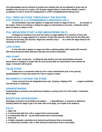HHI acknowledges that the element of surprise and creativity that can be attributed to props may be valuable to the success of a routine. HHI strongly suggests when in doubt about whether a prop is acceptable it is best to email HHI headquarters to confirm (info@hiphopinternational.com).

# FULL CREW ON STAGE THROUGHOUT THE ROUTINE (FOR CREWS OF 5-10 CREWMEMBERS & MINICREWS ONLY)

All crewmembers must start together on stage and remain on stage for the en tire duration of the routine. There is no entering or exiting the stage by crewmembers at any time. A deduction will be taken for failure to adhere to this.

# FULL MEGACREW START & END (MEGACREWS ONLY)

All MegaCrew members must start the routine on stage together for a minimum of thirty (30) seconds and end on stage together for a minimum of thirty (30) seconds. Other than the first thirty (30) seconds and last thirty (30) seconds, MegaCrew members may e xit or enter the stage freely for the remainder of the routine.

# LATE START

A crew who fails to appear on stage and strike a starting position within twenty (20) seconds after being introduced will be deemed a late start and receive a deduction.

# PRE-START

A pre -start occurs prior to taking the start position; the crew demonstrates excessive introductions or displays for longer than ten (10) seconds after all crewmembers have entered the stage. A deduction will be given.

#### FALSE START

A false start is a movement made by one or more crewmembers prior to the opening signal/beep/start of music that causes the crew to request a restart.

# INCORRECTLY EXITING THE STAGE

Crews must exit from the designated areas only. Jumping or flipping off th e stage is prohibited and will result in a deduction.

#### GRANDSTANDING

Grandstanding is excessive post performance display or posing at the end of the routine. A deduction will be given.

# BACKSTAGE CROSSOVERS

Backstage crossovers are prohibited and subject t o disqualification. A crossover is defined as traveling behind the stage to get to the other side of the stage, out of sight of the audience.

# FALLS

- 1. Major Fall
- a. A crewmember falls from a lift or support that is unrecoverable.
- b. A crewmember falls dur ing the performance that is unrecoverable.
- 2. Minor Fall
- a. A highly noticeable, accidental error during the performance that is recoverable.
- b. A crewmember stumbles, trips, or falls during the performance that is recoverable.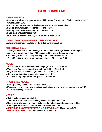# LIST OF DEDUCTIONS

#### PERFORMANCE

- v Late start failure to appear on stage within twenty (20) seconds of being introduced 0.07
- v Grandstanding 0.06
- v Pre-start pre-performance display greater than ten (10) seconds 0.08
- $v$  Fall, trip or stumble/per occurrence minor 0.05
- $v$  Fall, trip or stumble/per occurrence major 0.10
- v False start/ unsubstantiated 0.26
- v Unsubstantiated claim resulting in performance restart 1.15

#### CREWS OF 5-9 CREWMEMBERS & MINICREWS ONLY:

v All crewmembers not on stage for the entire performance 1.05

#### MEGACREWS ONLY:

v All MegaCrew members not on stage for a minimum of thirty (30) seconds during the opening and a minimum of thirty (30) seconds at the end of the performance

- Entire MegaCrew n ot on stage throughout the first 30 seconds 0.50
- Entire MegaCrew not on stage throughout the last 30 seconds 0.50

# **MUSIC**

- v Junior and MiniCrew division routine length (not  $1:30 -1:50$ ) 0.13
- $v$  Varsity and Adult division routine length (not 2:00  $-2:15$ ) 0.13
- v MegaCrew division routine length (not 3:00 -4:00) 0.13
- v Contains inappropriate language/per occurrence 0.12
- v Contains derogatory/racial terms /per occurrence 0.15

# PROHIBITED MOVES

- v Lewd gestures, comments, or movements 0.11
- v Excessive use of cheer, gym nastic or acrobatic moves or overly dangerous moves 1.10
- v Incorrectly exiting the stage 1.00

# ATTIRE

- v Clothing/shoes inappropriate 0.04
- v Attire not intact (untied laces/clothing articles falling off, etc.) 0.03
- v Use of body oils, paints or other substances that affect the performance area 0.25
- v Clothing or props tossed into audience/per occurrence 0.09
- v CREWS OF 5-9 CREWMEMBERS & MINICREWS ONLY: Use of props 0.24
- v MEGACREWS ONLY: Use of unacceptable props 1.05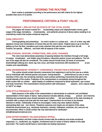**SCORING THE ROUTINE**<br>Each routine is evaluated according to the performance and skill criteria for the highest possible total score of 10 points.

# PERFORMANCE CRITERIA & POINT VALUE:

#### PERFORMANCE = 50% OR FIVE (5) POINTS OF THE TOTAL SCORE

The judges will reward routines for i ncorporating unique and original/creative moves, good usage of the stage, formations, showmanship, and authentic presence of dance styles resulting in an entertaining routine that evokes emotional response.

#### (10%) CREATIVITY

Choreographing and presenting t he crew's routine in a unique and one-of-a-kind way with signature moves and combinations of moves that are the crew's alone. Original ways to go to the floor, getting up from the floor, transitions and music selection that sets the crew apart from the oth er routines. Be special, different, and fresh with all aspects of the routine.

#### (10%) STAGING, SPACING, FORMATIONS, AND LEVEL CHANGES

The crew must demonstrate awareness of spacing between the members through a full range of unique, complicated, and challen ging formations, interactive partner moves and patterns. The full use of the stage will also be considered. The routine should include three (3) levels of movement (low/mid/high) utilizing arm, hand, leg, foot, torso, and head movements with transitions the at are creative and unpredictable.

#### (10%) SHOWMANSHIP: INTENSITY, CONFIDENCE, PROJECTION & PRESENCE

The routine should contain dynamic movements from beginning to end by the crew as a whole and as individuals with minimal pauses and poses. During featured performances by one or more members of the crew, the remaining members must continue performing movements that add to the overall intensity of the routine. Projection of the crewmembers is consistently strong throughout the entire routine with an uninterr upted display of confidence measured by facial expression, eye contact and body movement. The crewmembers should perform with enthusiasm, passion, and a natural ability to "sell it" on stage.

#### (10%) STYLE PRESENCE & ATTIRE

Style presence is the ability of the crewmembers to demonstrate an authentic and uninhibited representation of their styles of dance. Style presence includes attitude, energy, posture and charisma. Clothing and accessories worn should represent and reflect the real character of the style including its evolution with a unique look that sets the crew apart. Crewmembers do not have to be dressed identical or similar. Individuality of dress is encouraged. Crews may wear stylized clothing representing their rout ine's theme. Theatrical costumes and masks are not typical of the urban street/club environments (e.g., storybook characters, animals, Halloween costumes, etc.) and are not recommended. When in doubt contact Hip Hop International for clarification (info@hiphopinternational.com).

#### (10%) ENTERTAINMENT VALUE/AUDIENCE APPEAL

Crewmembers and their routine should connect with the audience and evoke emotional responses, i.e., excitement, joy, laughter, involvement and /or sense of drama relative to the style pres ented. The routine should leave a memorable and lasting impression.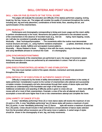# SKILL CRITERIA AND POINT VALUE:

#### SKILL = 50% OR FIVE (5) POINTS OF THE TOTAL SCORE

The judges will evaluate the execution and difficulty of the style(s) performed; popping, locking, break ing, hip hop, house, etc. The judges will consider the quality of movement throughout the routine, including arm, leg and body placement, combinations of three levels; floor, standing and air, and synchronization of the crewmembers.

#### (10%) MUSICALITY

Performance and choreography corresponding to timing and music usage and the crew's ability to perform simultaneously to the music. Movements and patterns performed to the simulated sounds of the crewmembers in the absence of recorded music (e.g., foot sto mping, hand clapping, vocals, etc.) will also be considered musicality and judged similarly.

Musicality - Beat Technique/Syncopation - The movements within the routine must demonstrate musical structure and style, i.e., using rhythmic variations emphasizin gupbeat, downbeat, tempo and accents in single, double, halftime and syncopated musical patterns.

Musicality - Moves Related to Music - Staying in time with the music, moving to the beat of the music, and using identifiable phrases to construct the routin e's choreography.

#### (10%) SYNCHRONIZATION/TIMING

The movements of the crewmembers are performed in sync; the range of movement, speed, timing and execution of moves are performed by all crewmembers in unison. Peel off or in cannon movements are allowable.

#### (10%) EXECUTION/CONTROLLED MOBILITY AND STABILIZATION

The crew must maintain control of the speed, direction, momentum and body placement throughout the routine.

#### (10%) DIFFICULTY OF EXECUTION OF AUTHENTIC DANCE STYLES

Difficulty is measured by the levels of ability demonstrated by all crewmembers in the variety of styles performed. Consideration is given to the number of crewmembers who attempt and successfully complete complex choreography and who demonstrate through their variety of dance styles and their execution an understanding of the foundation and origin of the dance styles.

Additional consideration and awarding of difficulty points is given to crews who pe rform more difficult moves with all or most of their crewmembers. Example: a crew of five who all attempt and clearly accomplish a move will score higher than if one or two crewmembers attempt and complete the move.

#### (10%) VARIETY OF DANCE STYLES

A crew " identifiably performing" three (3) or more dance styles will receive the maximum of one (1) point or 10%. A crew "identifiably performing" two (2) dance styles will receive a maximum of point five (.5) points. A crew "identifiably performing" one (1) dance style will receive a maximum of point two five (.25) points. Crews should include in their performance a broad selection of dance styles selected from the list provided without excessive use of the same move or patterns. A varied range of styles should be shown in the choreography of arm, leg, and body movements.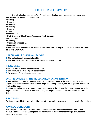# LIST OF DANCE STYLES:

The following is a list of street/club/funk dance styles from early foundation to present from which crews are advised to choose from:

- Locking
- Popping
- Breaking
- Whacking
- Punking
- Voguing
- House Dance
- Party Dances or Club Dances (popular or trendy dances)
- Hip Hop Dance
- Krumping
- Stepping/Gumboot Dance
- Dancehall

Traditional dance and folklore are welcome and will be considered part of the dance routine but should be kept to a minimum.

# CALCULATING THE FINAL SCORE

- 1. The highest possible score is ten (10).
- 2. The final score shall be rounded to the nearest hundredt  $h$  point.

# TIE SCORES

- Tie scores will be broken by the following order:
- 1. The crew with the highest performance score
- 2. An analysis of the judges' ordinal ranking.

# DISCREPANCIES IN THE RULES AND/OR COMPETITION

1. Any problem or discrepancy during a competition will be brought to the attention of the event organizer who will address it with the Head Judge or Judiciary Director, and the respective decision(s) made will be final.

2. Misinterpretation due to translatio n or interpretation of the rules will be resolved according to the English version. In the event of any discrepancy, the English version of the most current rules will stand.

# PROTESTS

Protests are prohibited and will not be accepted regarding any score or result of a decision.

# AWARDS CEREMONY

The competition will conclude with a ceremony honoring the crews with the highest total scores. Medals, trophies, ribbons, and/or prizes will be awarded to at least the top three (3) crews in each category of competi tion.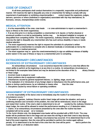CODE OF CONDUCT<br>At all times participants shall conduct themselves in a respectful, responsible and professional manner. HHI reserves the right to disqualify any crew or crewmember for failing to comply with any requirement of participation or exhibiting unsportsmanlike c onduct toward the organizers, judges, dancers, sponsors or others (individual or organization) associated with Hip Hop International, its licensees, venues, championships and/or events.

# MEDICAL ATTENTION

1. It is the responsibility of the crew, crew leade r or crew administrator to report a crewmember's injury or illness to the event organizer(s).

2. If at any time prior to or during competition a crewmember is ill, injured, or his/her physical or emotional condition is at risk by participating, he/she may be declared ineligible to compete, or disqualified from competing further. The event organizer(s), Judiciary Director and/or Head Judge reserves the right to disqualify any crewmember who has such serious disability or injury or needs medical attention.

3. The event organizer(s) reserves the right to request the submittal of a physician's written authorization for a crewmember to compete who is deemed medically or emotionally at risk by the event organizer or medical personnel.

4. The event organizer may re quire the crew/crewmember(s) to sign an additional release of liability and/or waiver in the case of illness or injury to a crewmember prior to competing.

# EXTRAORDINARY CIRCUMSTANCES INCIDENCES OF EXTRAORDINARY CIRCUMSTANCES

An extraordinary circumstance is an occurrence beyond the control of a crew that affects the crew's ability to perform at the beginning or at any time in a routine. An extraordinary circumstance is not limited to the examples listed below and may be declared at the discretion of the Ju diciary Director or Head Judge.

- 1. Incorrect music is played or cued
- 2. Music problems due to equipment malfunction
- 3. Disturbances caused by general equipment failures, i.e. lighting, stage, sound, etc.

4. The realization of or introduction of any foreign object or disturbance into the performance area, just

before or during a performance, by an individual or means other than the crew

5. Disruptions caused by venue failure or operating conditions

# MANAGEMENT OF EXTRAORDINARY CIRCUMSTANCES

1. It is the responsibility of the dance crew to immediately stop the routine if an extraordinary circumstance occurs. \*

2. The event or ganizer, Judiciary Director and/or Head Judge will review the situation, and upon a confirming decision and correction of the problem, the crew will be reintroduced, return to the stage and restart their routine. If the crew's claim is determined to be unf ounded by the Judiciary Director or Head Judge, the crew will be allowed to restart the performance resulting in a 1.0 deduction taken. 3. Claims of an extraordinary circumstance presented by the crew after the routine has been

completed will not be accept ed or reviewed.

\*In the Junior division only, the designated crew leader will be provided with a RED FLAG. The crew leader will be positioned next to the stage and can wave the red flag to alert their crew to stop dancing if he/she feels an instance of ext raordinary circumstance has occurred. If it is determined that it is the fault of the event organizer, then the crew will be permitted to perform the routine again without penalty. If it is determined to be the fault of the crew then the crew will be permi tted to perform the routine again with a 1.0 deduction taken.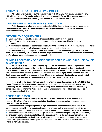# ENTRY CRITERIA • ELIGIBILITY & POLICIES<br>All participants must abide by the eligibility rules of HHI Canada. Participants entered into any

HHI affiliated event and/or continental/world events are responsible for providing accurate personal information and documentation certifying their national e ligibility and date of birth.

#### CREWMEMBER SUSPENSION/DISQUALIFICATION

Falsifying personal information and/or national eligibility documents by a crew, crewmember or representative of a crew is subject to disqualification, suspension and/or other severe penalties deemed necessary by HHI.

# NATIONALITY REQUIREMENTS

- 1. Each crewmem ber must be a citizen or resident of the country they represent.
- 2. Proof of citizenship or residency must be validated prior to each competition by the event organizer.
- 3. A crewmember declaring residency must reside within the country a minimum of six  $(6)$  mont hs and must be able to provide official documentation to support such a declaration.

4. A crewmember may not compete for more than two (2) countries within three (3) consecutive years. Note: Failure to correctly provide proof of national eligibility may resul tin disqualification, suspensions, and/or other severe penalties deemed necessary by HHI.

# NUMBER & SELECTION OF DANCE CREWS FOR THE WORLD HIP HOP DANCE **CHAMPIONSHIP**

All events must be conducted using the Hip -Hop International Rules and Regulations. Dance Crews participating in the World Hip Hop Dance Championship advance either from (a) national qualification rounds within their country produced by Hip Hop Internation al licensees, (b) selections by HHI Licensees when a national qualification is not conducted and/or (c) by special invitation from HHI. Each country may qualify and enter up to three (3) dance crews in each division (Junior, Varsity, Adult, MiniCrew and Me gaCrew) to compete in the World Hip Hop Dance Championship.

If one or all of the qualified crews cannot, for whatever reason(s), compete in the World Hip Hop Dance Championship then the dance crew next in line, according to the national final scores, can be selected by the HHI licensee to represent their country. In an instance where there are no qualifying dance crews able to attend the World Hip Hop Dance Championship, the HHI licensee may select another crew pending HHI approval.

#### FORMS & RELEASES

1. Participants must complete and sign all registration forms. The forms must be returned to the national HHI affiliate office prior to the registration deadline with the appropriate registration fees or registration may be denied.

2. Release of liabi lity: Each participant must sign and submit a release of liability form prior to the competition, releasing HHI, the organizer, their agents, officers, staff and sponsors from liability for any accident or injury occurring to a participant prior to, during , or after an HHI event or competition. 3. Release of likeness: All participants must sign a release of likeness form permitting HHI, its affiliates, the organizer, agents and sponsors to film, videotape, and/or record the participants' performance(s) and event participation for use in all forms of television, motion pictures, home video, internet, social media, radio, press releases, media, public relations, and other promotion/media vehicles whether now known or hereafter devised.